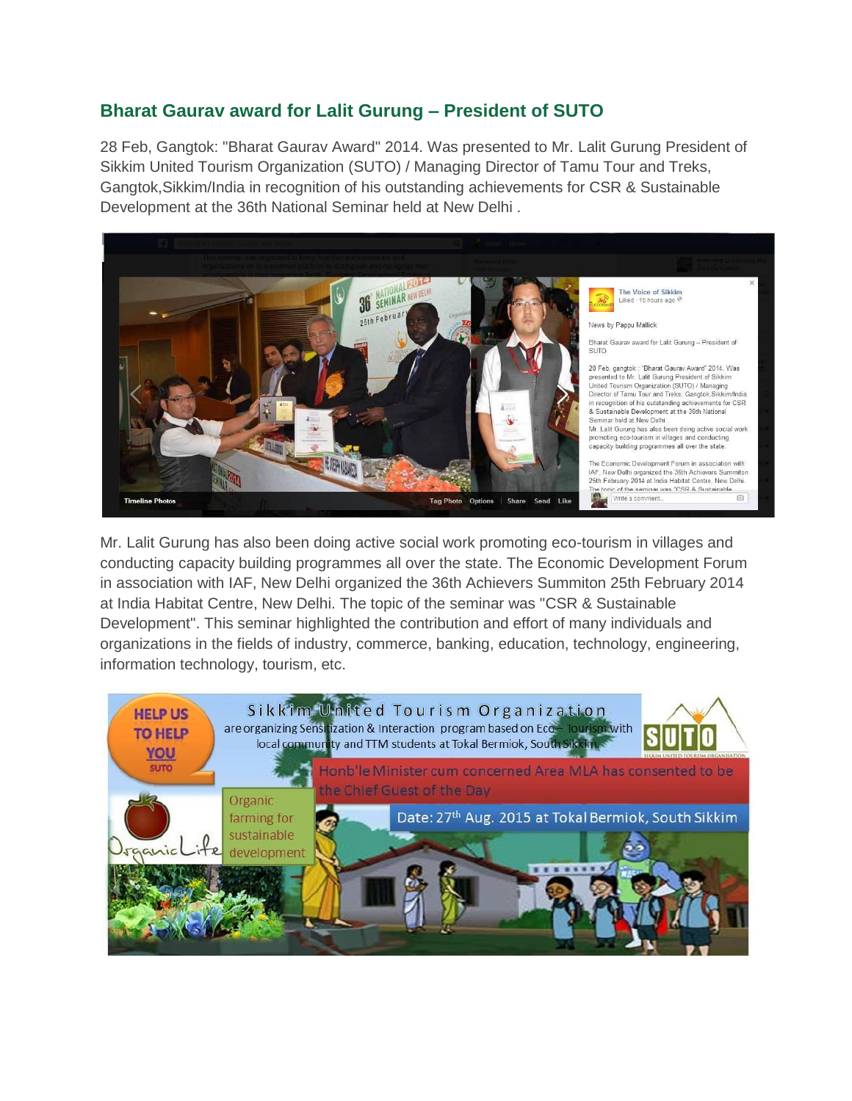## **Bharat Gaurav award for Lalit Gurung – President of SUTO**

28 Feb, Gangtok: "Bharat Gaurav Award" 2014. Was presented to Mr. Lalit Gurung President of Sikkim United Tourism Organization (SUTO) / Managing Director of Tamu Tour and Treks, Gangtok,Sikkim/India in recognition of his outstanding achievements for CSR & Sustainable Development at the 36th National Seminar held at New Delhi .



Mr. Lalit Gurung has also been doing active social work promoting eco-tourism in villages and conducting capacity building programmes all over the state. The Economic Development Forum in association with IAF, New Delhi organized the 36th Achievers Summiton 25th February 2014 at India Habitat Centre, New Delhi. The topic of the seminar was "CSR & Sustainable Development". This seminar highlighted the contribution and effort of many individuals and organizations in the fields of industry, commerce, banking, education, technology, engineering, information technology, tourism, etc.